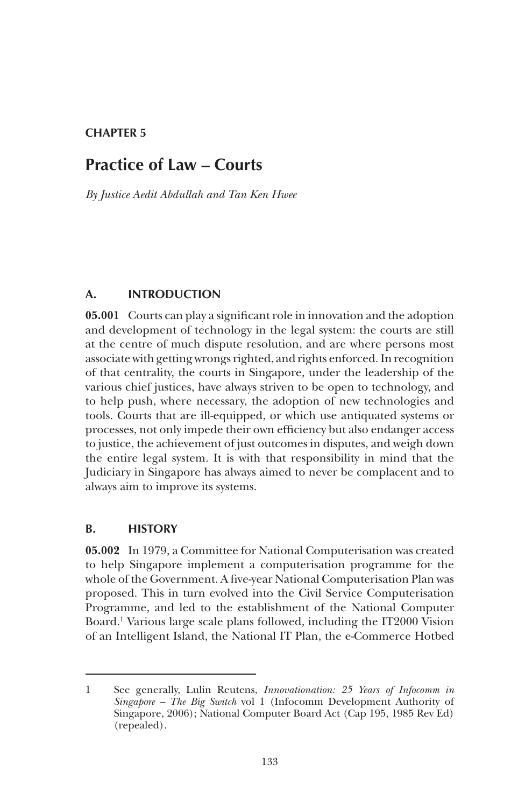# **CHAPTER 5**

# **Practice of Law – Courts**

*By Justice Aedit Abdullah and Tan Ken Hwee*

#### **A. INTRODUCTION**

**05.001** Courts can play a significant role in innovation and the adoption and development of technology in the legal system: the courts are still at the centre of much dispute resolution, and are where persons most associate with getting wrongs righted, and rights enforced. In recognition of that centrality, the courts in Singapore, under the leadership of the various chief justices, have always striven to be open to technology, and to help push, where necessary, the adoption of new technologies and tools. Courts that are ill-equipped, or which use antiquated systems or processes, not only impede their own efficiency but also endanger access to justice, the achievement of just outcomes in disputes, and weigh down the entire legal system. It is with that responsibility in mind that the Judiciary in Singapore has always aimed to never be complacent and to always aim to improve its systems.

#### **B. HISTORY**

**05.002** In 1979, a Committee for National Computerisation was created to help Singapore implement a computerisation programme for the whole of the Government. A five-year National Computerisation Plan was proposed. This in turn evolved into the Civil Service Computerisation Programme, and led to the establishment of the National Computer Board.1 Various large scale plans followed, including the IT2000 Vision of an Intelligent Island, the National IT Plan, the e-Commerce Hotbed

<sup>1</sup> See generally, Lulin Reutens, *Innovationation: 25 Years of Infocomm in Singapore – The Big Switch* vol 1 (Infocomm Development Authority of Singapore, 2006); National Computer Board Act (Cap 195, 1985 Rev Ed) (repealed).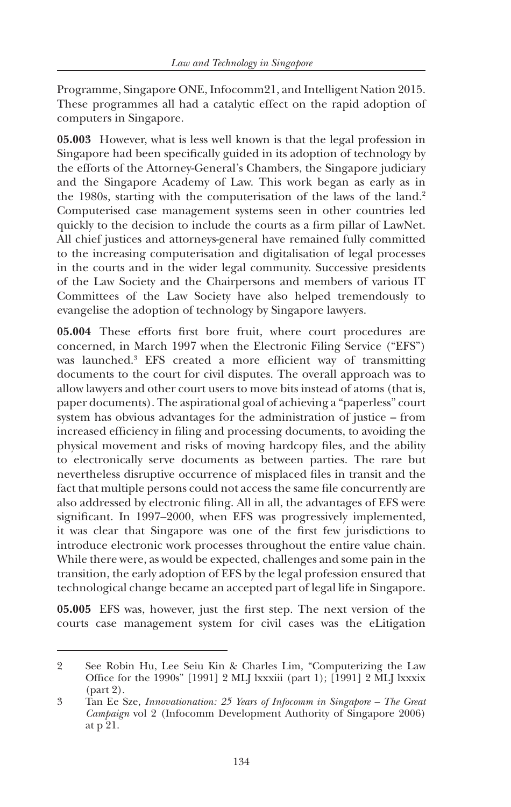Programme, Singapore ONE, Infocomm21, and Intelligent Nation 2015. These programmes all had a catalytic effect on the rapid adoption of computers in Singapore.

**05.003** However, what is less well known is that the legal profession in Singapore had been specifically guided in its adoption of technology by the efforts of the Attorney-General's Chambers, the Singapore judiciary and the Singapore Academy of Law. This work began as early as in the 1980s, starting with the computerisation of the laws of the land.<sup>2</sup> Computerised case management systems seen in other countries led quickly to the decision to include the courts as a firm pillar of LawNet. All chief justices and attorneys-general have remained fully committed to the increasing computerisation and digitalisation of legal processes in the courts and in the wider legal community. Successive presidents of the Law Society and the Chairpersons and members of various IT Committees of the Law Society have also helped tremendously to evangelise the adoption of technology by Singapore lawyers.

**05.004** These efforts first bore fruit, where court procedures are concerned, in March 1997 when the Electronic Filing Service ("EFS") was launched.<sup>3</sup> EFS created a more efficient way of transmitting documents to the court for civil disputes. The overall approach was to allow lawyers and other court users to move bits instead of atoms (that is, paper documents). The aspirational goal of achieving a "paperless" court system has obvious advantages for the administration of justice – from increased efficiency in filing and processing documents, to avoiding the physical movement and risks of moving hardcopy files, and the ability to electronically serve documents as between parties. The rare but nevertheless disruptive occurrence of misplaced files in transit and the fact that multiple persons could not access the same file concurrently are also addressed by electronic filing. All in all, the advantages of EFS were significant. In 1997–2000, when EFS was progressively implemented, it was clear that Singapore was one of the first few jurisdictions to introduce electronic work processes throughout the entire value chain. While there were, as would be expected, challenges and some pain in the transition, the early adoption of EFS by the legal profession ensured that technological change became an accepted part of legal life in Singapore.

**05.005** EFS was, however, just the first step. The next version of the courts case management system for civil cases was the eLitigation

<sup>2</sup> See Robin Hu, Lee Seiu Kin & Charles Lim, "Computerizing the Law Office for the 1990s" [1991] 2 MLJ lxxxiii (part 1); [1991] 2 MLJ lxxxix (part 2).

<sup>3</sup> Tan Ee Sze, *Innovationation: 25 Years of Infocomm in Singapore – The Great Campaign* vol 2 (Infocomm Development Authority of Singapore 2006) at p 21.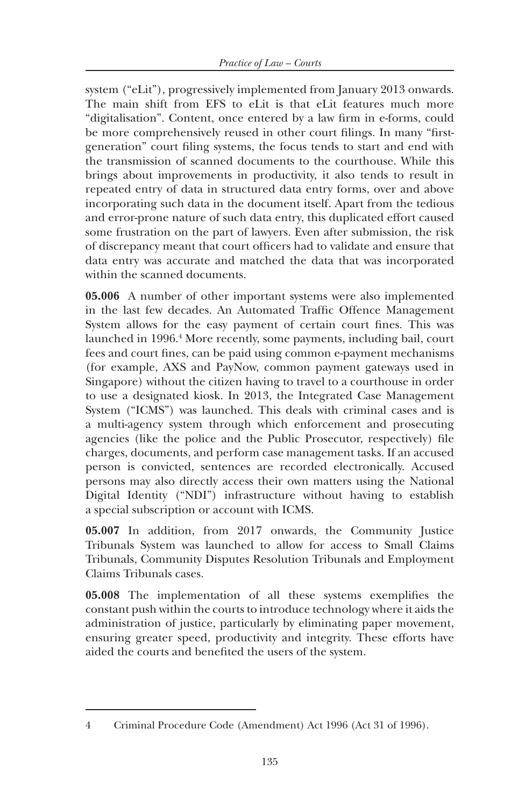system ("eLit"), progressively implemented from January 2013 onwards. The main shift from EFS to eLit is that eLit features much more "digitalisation". Content, once entered by a law firm in e-forms, could be more comprehensively reused in other court filings. In many "firstgeneration" court filing systems, the focus tends to start and end with the transmission of scanned documents to the courthouse. While this brings about improvements in productivity, it also tends to result in repeated entry of data in structured data entry forms, over and above incorporating such data in the document itself. Apart from the tedious and error-prone nature of such data entry, this duplicated effort caused some frustration on the part of lawyers. Even after submission, the risk of discrepancy meant that court officers had to validate and ensure that data entry was accurate and matched the data that was incorporated within the scanned documents.

**05.006** A number of other important systems were also implemented in the last few decades. An Automated Traffic Offence Management System allows for the easy payment of certain court fines. This was launched in 1996.<sup>4</sup> More recently, some payments, including bail, court fees and court fines, can be paid using common e-payment mechanisms (for example, AXS and PayNow, common payment gateways used in Singapore) without the citizen having to travel to a courthouse in order to use a designated kiosk. In 2013, the Integrated Case Management System ("ICMS") was launched. This deals with criminal cases and is a multi-agency system through which enforcement and prosecuting agencies (like the police and the Public Prosecutor, respectively) file charges, documents, and perform case management tasks. If an accused person is convicted, sentences are recorded electronically. Accused persons may also directly access their own matters using the National Digital Identity ("NDI") infrastructure without having to establish a special subscription or account with ICMS.

**05.007** In addition, from 2017 onwards, the Community Justice Tribunals System was launched to allow for access to Small Claims Tribunals, Community Disputes Resolution Tribunals and Employment Claims Tribunals cases.

**05.008** The implementation of all these systems exemplifies the constant push within the courts to introduce technology where it aids the administration of justice, particularly by eliminating paper movement, ensuring greater speed, productivity and integrity. These efforts have aided the courts and benefited the users of the system.

<sup>4</sup> Criminal Procedure Code (Amendment) Act 1996 (Act 31 of 1996).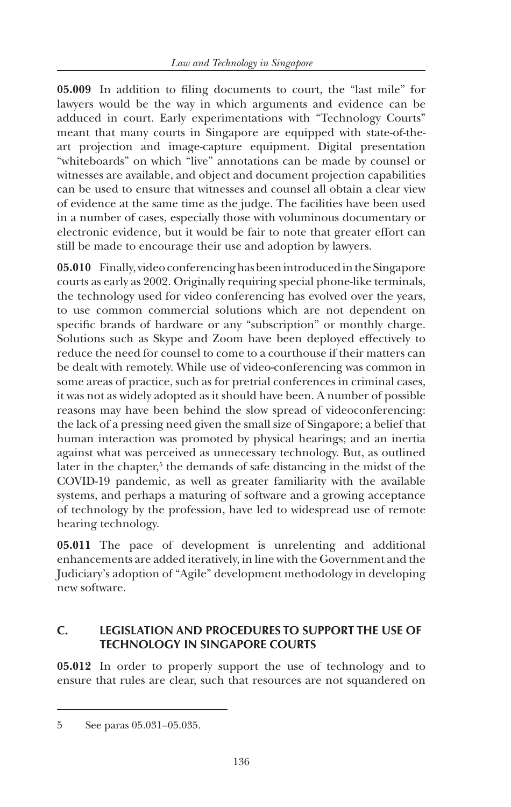**05.009** In addition to filing documents to court, the "last mile" for lawyers would be the way in which arguments and evidence can be adduced in court. Early experimentations with "Technology Courts" meant that many courts in Singapore are equipped with state-of-theart projection and image-capture equipment. Digital presentation "whiteboards" on which "live" annotations can be made by counsel or witnesses are available, and object and document projection capabilities can be used to ensure that witnesses and counsel all obtain a clear view of evidence at the same time as the judge. The facilities have been used in a number of cases, especially those with voluminous documentary or electronic evidence, but it would be fair to note that greater effort can still be made to encourage their use and adoption by lawyers.

**05.010** Finally, video conferencing has been introduced in the Singapore courts as early as 2002. Originally requiring special phone-like terminals, the technology used for video conferencing has evolved over the years, to use common commercial solutions which are not dependent on specific brands of hardware or any "subscription" or monthly charge. Solutions such as Skype and Zoom have been deployed effectively to reduce the need for counsel to come to a courthouse if their matters can be dealt with remotely. While use of video-conferencing was common in some areas of practice, such as for pretrial conferences in criminal cases, it was not as widely adopted as it should have been. A number of possible reasons may have been behind the slow spread of videoconferencing: the lack of a pressing need given the small size of Singapore; a belief that human interaction was promoted by physical hearings; and an inertia against what was perceived as unnecessary technology. But, as outlined later in the chapter,<sup>5</sup> the demands of safe distancing in the midst of the COVID-19 pandemic, as well as greater familiarity with the available systems, and perhaps a maturing of software and a growing acceptance of technology by the profession, have led to widespread use of remote hearing technology.

**05.011** The pace of development is unrelenting and additional enhancements are added iteratively, in line with the Government and the Judiciary's adoption of "Agile" development methodology in developing new software.

## **C. LEGISLATION AND PROCEDURES TO SUPPORT THE USE OF TECHNOLOGY IN SINGAPORE COURTS**

**05.012** In order to properly support the use of technology and to ensure that rules are clear, such that resources are not squandered on

<sup>5</sup> See paras 05.031–05.035.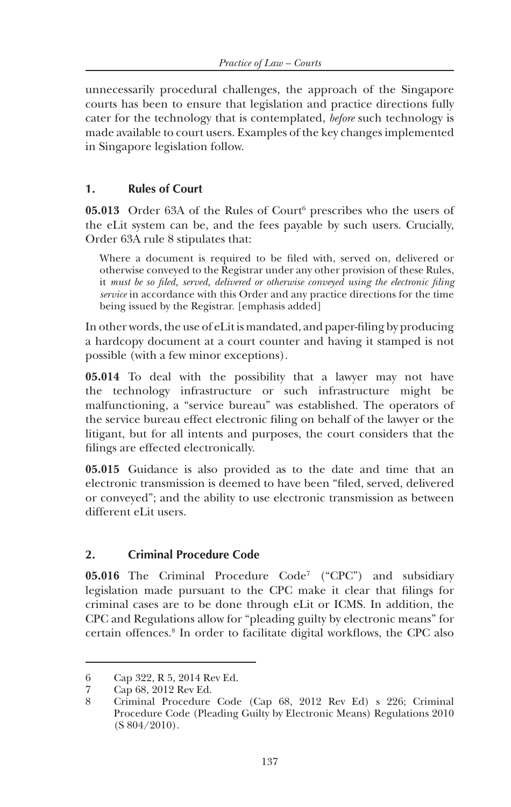unnecessarily procedural challenges, the approach of the Singapore courts has been to ensure that legislation and practice directions fully cater for the technology that is contemplated, *before* such technology is made available to court users. Examples of the key changes implemented in Singapore legislation follow.

#### **1. Rules of Court**

**05.013** Order 63A of the Rules of Court<sup>6</sup> prescribes who the users of the eLit system can be, and the fees payable by such users. Crucially, Order 63A rule 8 stipulates that:

Where a document is required to be filed with, served on, delivered or otherwise conveyed to the Registrar under any other provision of these Rules, it *must be so filed, served, delivered or otherwise conveyed using the electronic filing service* in accordance with this Order and any practice directions for the time being issued by the Registrar. [emphasis added]

In other words, the use of eLit is mandated, and paper-filing by producing a hardcopy document at a court counter and having it stamped is not possible (with a few minor exceptions).

**05.014** To deal with the possibility that a lawyer may not have the technology infrastructure or such infrastructure might be malfunctioning, a "service bureau" was established. The operators of the service bureau effect electronic filing on behalf of the lawyer or the litigant, but for all intents and purposes, the court considers that the filings are effected electronically.

**05.015** Guidance is also provided as to the date and time that an electronic transmission is deemed to have been "filed, served, delivered or conveyed"; and the ability to use electronic transmission as between different eLit users.

#### **2. Criminal Procedure Code**

**05.016** The Criminal Procedure Code<sup>7</sup> ("CPC") and subsidiary legislation made pursuant to the CPC make it clear that filings for criminal cases are to be done through eLit or ICMS. In addition, the CPC and Regulations allow for "pleading guilty by electronic means" for certain offences.8 In order to facilitate digital workflows, the CPC also

<sup>6</sup> Cap 322, R 5, 2014 Rev Ed.

<sup>7</sup> Cap 68, 2012 Rev Ed.

<sup>8</sup> Criminal Procedure Code (Cap 68, 2012 Rev Ed) s 226; Criminal Procedure Code (Pleading Guilty by Electronic Means) Regulations 2010 (S 804/2010).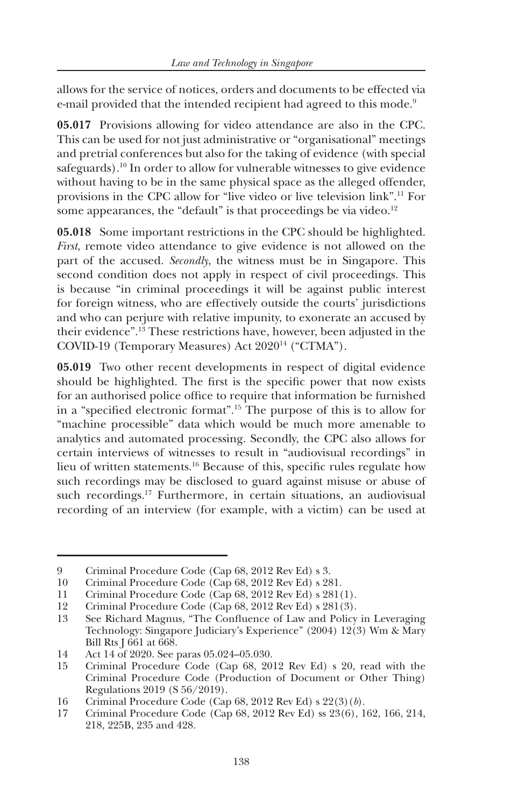allows for the service of notices, orders and documents to be effected via e-mail provided that the intended recipient had agreed to this mode.<sup>9</sup>

**05.017** Provisions allowing for video attendance are also in the CPC. This can be used for not just administrative or "organisational" meetings and pretrial conferences but also for the taking of evidence (with special safeguards).10 In order to allow for vulnerable witnesses to give evidence without having to be in the same physical space as the alleged offender, provisions in the CPC allow for "live video or live television link".11 For some appearances, the "default" is that proceedings be via video.<sup>12</sup>

**05.018** Some important restrictions in the CPC should be highlighted. *First*, remote video attendance to give evidence is not allowed on the part of the accused. *Secondly*, the witness must be in Singapore. This second condition does not apply in respect of civil proceedings. This is because "in criminal proceedings it will be against public interest for foreign witness, who are effectively outside the courts' jurisdictions and who can perjure with relative impunity, to exonerate an accused by their evidence".13 These restrictions have, however, been adjusted in the COVID-19 (Temporary Measures) Act 202014 ("CTMA").

**05.019** Two other recent developments in respect of digital evidence should be highlighted. The first is the specific power that now exists for an authorised police office to require that information be furnished in a "specified electronic format".15 The purpose of this is to allow for "machine processible" data which would be much more amenable to analytics and automated processing. Secondly, the CPC also allows for certain interviews of witnesses to result in "audiovisual recordings" in lieu of written statements.16 Because of this, specific rules regulate how such recordings may be disclosed to guard against misuse or abuse of such recordings.<sup>17</sup> Furthermore, in certain situations, an audiovisual recording of an interview (for example, with a victim) can be used at

<sup>9</sup> Criminal Procedure Code (Cap 68, 2012 Rev Ed) s 3.

<sup>10</sup> Criminal Procedure Code (Cap 68, 2012 Rev Ed) s 281.

<sup>11</sup> Criminal Procedure Code (Cap 68, 2012 Rev Ed) s 281(1).<br>12 Criminal Procedure Code (Cap 68, 2012 Rev Ed) s 281(3).

Criminal Procedure Code (Cap 68, 2012 Rev Ed) s 281(3).

<sup>13</sup> See Richard Magnus, "The Confluence of Law and Policy in Leveraging Technology: Singapore Judiciary's Experience" (2004) 12(3) Wm & Mary Bill Rts J 661 at 668.

<sup>14</sup> Act 14 of 2020. See paras 05.024–05.030.

<sup>15</sup> Criminal Procedure Code (Cap 68, 2012 Rev Ed) s 20, read with the Criminal Procedure Code (Production of Document or Other Thing) Regulations 2019 (S 56/2019).

<sup>16</sup> Criminal Procedure Code (Cap 68, 2012 Rev Ed) s 22(3)(*b*).

<sup>17</sup> Criminal Procedure Code (Cap 68, 2012 Rev Ed) ss 23(6), 162, 166, 214, 218, 225B, 235 and 428.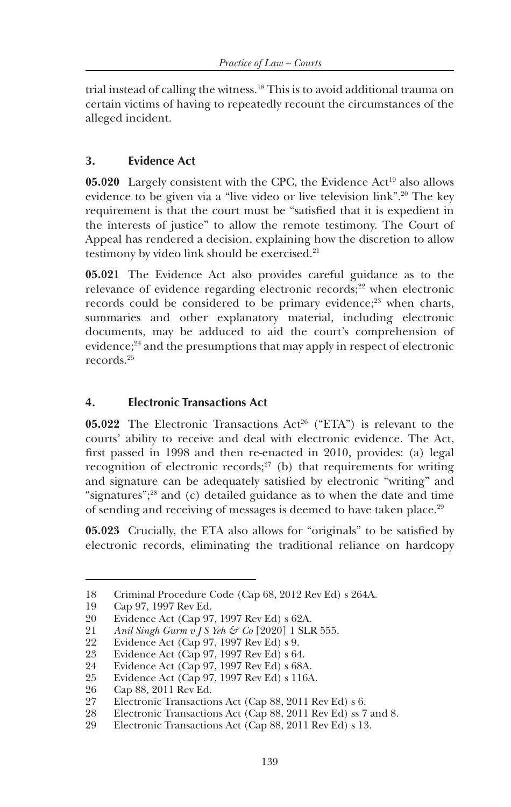trial instead of calling the witness.18 This is to avoid additional trauma on certain victims of having to repeatedly recount the circumstances of the alleged incident.

## **3. Evidence Act**

**05.020** Largely consistent with the CPC, the Evidence Act<sup>19</sup> also allows evidence to be given via a "live video or live television link".20 The key requirement is that the court must be "satisfied that it is expedient in the interests of justice" to allow the remote testimony. The Court of Appeal has rendered a decision, explaining how the discretion to allow testimony by video link should be exercised.21

**05.021** The Evidence Act also provides careful guidance as to the relevance of evidence regarding electronic records;<sup>22</sup> when electronic records could be considered to be primary evidence;<sup>23</sup> when charts, summaries and other explanatory material, including electronic documents, may be adduced to aid the court's comprehension of evidence:<sup>24</sup> and the presumptions that may apply in respect of electronic records.25

## **4. Electronic Transactions Act**

**05.022** The Electronic Transactions Act<sup>26</sup> ("ETA") is relevant to the courts' ability to receive and deal with electronic evidence. The Act, first passed in 1998 and then re-enacted in 2010, provides: (a) legal recognition of electronic records;<sup>27</sup> (b) that requirements for writing and signature can be adequately satisfied by electronic "writing" and "signatures";28 and (c) detailed guidance as to when the date and time of sending and receiving of messages is deemed to have taken place.<sup>29</sup>

**05.023** Crucially, the ETA also allows for "originals" to be satisfied by electronic records, eliminating the traditional reliance on hardcopy

<sup>18</sup> Criminal Procedure Code (Cap 68, 2012 Rev Ed) s 264A.

Cap 97, 1997 Rev Ed.

<sup>20</sup> Evidence Act (Cap 97, 1997 Rev Ed) s 62A.

<sup>21</sup> *Anil Singh Gurm v J S Yeh & Co* [2020] 1 SLR 555.<br>22 Evidence Act (Cap 97, 1997 Rev Ed) s 9.

Evidence Act (Cap 97, 1997 Rev Ed) s 9.

<sup>23</sup> Evidence Act (Cap 97, 1997 Rev Ed) s 64.

<sup>24</sup> Evidence Act (Cap 97, 1997 Rev Ed) s 68A.

<sup>25</sup> Evidence Act (Cap 97, 1997 Rev Ed) s 116A.

<sup>26</sup> Cap 88, 2011 Rev Ed.

<sup>27</sup> Electronic Transactions Act (Cap 88, 2011 Rev Ed) s 6.

<sup>28</sup> Electronic Transactions Act (Cap 88, 2011 Rev Ed) ss 7 and 8.

<sup>29</sup> Electronic Transactions Act (Cap 88, 2011 Rev Ed) s 13.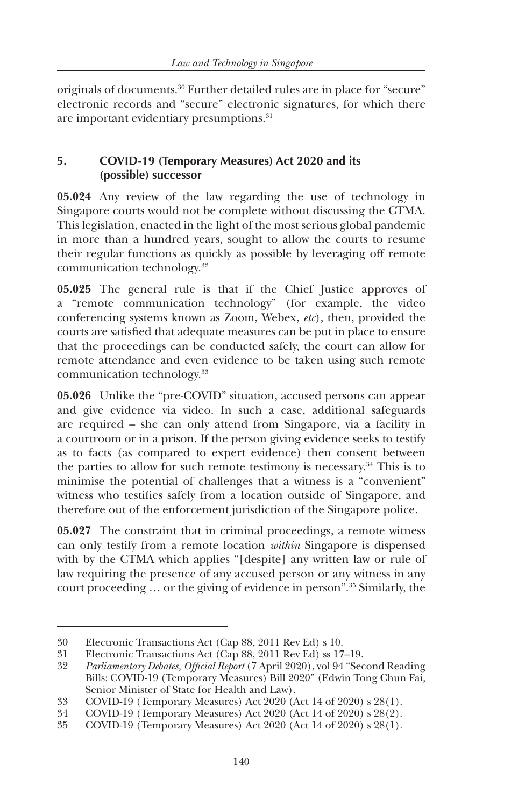originals of documents.<sup>30</sup> Further detailed rules are in place for "secure" electronic records and "secure" electronic signatures, for which there are important evidentiary presumptions.<sup>31</sup>

#### **5. COVID-19 (Temporary Measures) Act 2020 and its (possible) successor**

**05.024** Any review of the law regarding the use of technology in Singapore courts would not be complete without discussing the CTMA. This legislation, enacted in the light of the most serious global pandemic in more than a hundred years, sought to allow the courts to resume their regular functions as quickly as possible by leveraging off remote communication technology.32

**05.025** The general rule is that if the Chief Justice approves of a "remote communication technology" (for example, the video conferencing systems known as Zoom, Webex, *etc*), then, provided the courts are satisfied that adequate measures can be put in place to ensure that the proceedings can be conducted safely, the court can allow for remote attendance and even evidence to be taken using such remote communication technology.33

**05.026** Unlike the "pre-COVID" situation, accused persons can appear and give evidence via video. In such a case, additional safeguards are required – she can only attend from Singapore, via a facility in a courtroom or in a prison. If the person giving evidence seeks to testify as to facts (as compared to expert evidence) then consent between the parties to allow for such remote testimony is necessary.34 This is to minimise the potential of challenges that a witness is a "convenient" witness who testifies safely from a location outside of Singapore, and therefore out of the enforcement jurisdiction of the Singapore police.

**05.027** The constraint that in criminal proceedings, a remote witness can only testify from a remote location *within* Singapore is dispensed with by the CTMA which applies "[despite] any written law or rule of law requiring the presence of any accused person or any witness in any court proceeding … or the giving of evidence in person".35 Similarly, the

<sup>30</sup> Electronic Transactions Act (Cap 88, 2011 Rev Ed) s 10.

<sup>31</sup> Electronic Transactions Act (Cap 88, 2011 Rev Ed) ss 17–19.

<sup>32</sup> *Parliamentary Debates, Official Report* (7 April 2020), vol 94 "Second Reading Bills: COVID-19 (Temporary Measures) Bill 2020" (Edwin Tong Chun Fai, Senior Minister of State for Health and Law).

<sup>33</sup> COVID-19 (Temporary Measures) Act 2020 (Act 14 of 2020) s 28(1).

<sup>34</sup> COVID-19 (Temporary Measures) Act 2020 (Act 14 of 2020) s 28(2).

<sup>35</sup> COVID-19 (Temporary Measures) Act 2020 (Act 14 of 2020) s 28(1).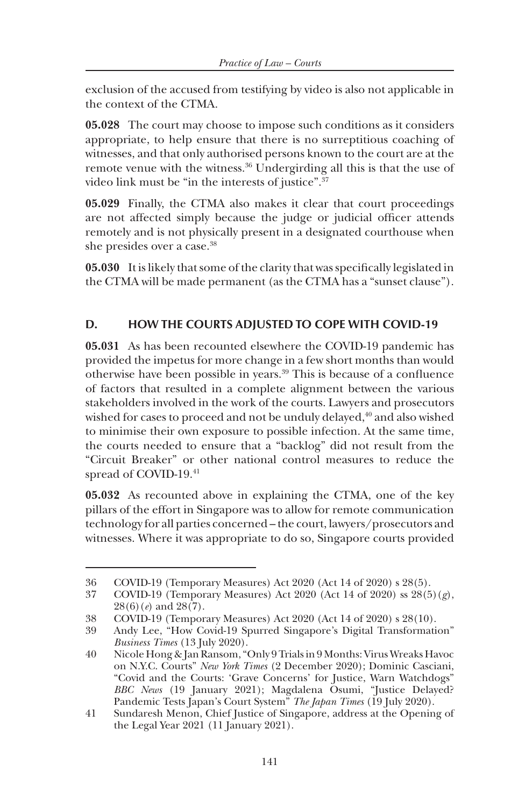exclusion of the accused from testifying by video is also not applicable in the context of the CTMA.

**05.028** The court may choose to impose such conditions as it considers appropriate, to help ensure that there is no surreptitious coaching of witnesses, and that only authorised persons known to the court are at the remote venue with the witness.36 Undergirding all this is that the use of video link must be "in the interests of justice".37

**05.029** Finally, the CTMA also makes it clear that court proceedings are not affected simply because the judge or judicial officer attends remotely and is not physically present in a designated courthouse when she presides over a case.<sup>38</sup>

**05.030** It is likely that some of the clarity that was specifically legislated in the CTMA will be made permanent (as the CTMA has a "sunset clause").

## **D. HOW THE COURTS ADJUSTED TO COPE WITH COVID-19**

**05.031** As has been recounted elsewhere the COVID-19 pandemic has provided the impetus for more change in a few short months than would otherwise have been possible in years.39 This is because of a confluence of factors that resulted in a complete alignment between the various stakeholders involved in the work of the courts. Lawyers and prosecutors wished for cases to proceed and not be unduly delayed,<sup>40</sup> and also wished to minimise their own exposure to possible infection. At the same time, the courts needed to ensure that a "backlog" did not result from the "Circuit Breaker" or other national control measures to reduce the spread of COVID-19.41

**05.032** As recounted above in explaining the CTMA, one of the key pillars of the effort in Singapore was to allow for remote communication technology for all parties concerned – the court, lawyers/prosecutors and witnesses. Where it was appropriate to do so, Singapore courts provided

<sup>36</sup> COVID-19 (Temporary Measures) Act 2020 (Act 14 of 2020) s 28(5).

<sup>37</sup> COVID-19 (Temporary Measures) Act 2020 (Act 14 of 2020) ss 28(5)(*g*), 28(6)(*e*) and 28(7).

<sup>38</sup> COVID-19 (Temporary Measures) Act 2020 (Act 14 of 2020) s 28(10).

<sup>39</sup> Andy Lee, "How Covid-19 Spurred Singapore's Digital Transformation" *Business Times* (13 July 2020).

<sup>40</sup> Nicole Hong & Jan Ransom, "Only 9 Trials in 9 Months: Virus Wreaks Havoc on N.Y.C. Courts" *New York Times* (2 December 2020); Dominic Casciani, "Covid and the Courts: 'Grave Concerns' for Justice, Warn Watchdogs" *BBC News* (19 January 2021); Magdalena Osumi, "Justice Delayed? Pandemic Tests Japan's Court System" *The Japan Times* (19 July 2020).

<sup>41</sup> Sundaresh Menon, Chief Justice of Singapore, address at the Opening of the Legal Year 2021 (11 January 2021).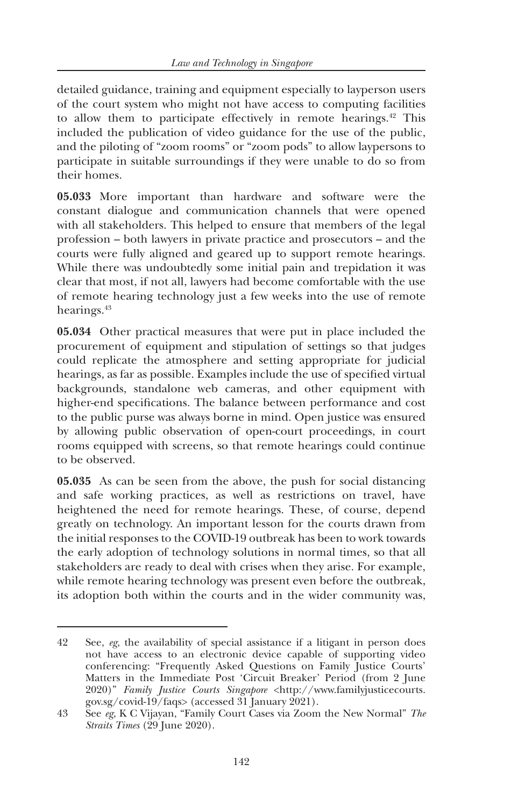detailed guidance, training and equipment especially to layperson users of the court system who might not have access to computing facilities to allow them to participate effectively in remote hearings. $42$  This included the publication of video guidance for the use of the public, and the piloting of "zoom rooms" or "zoom pods" to allow laypersons to participate in suitable surroundings if they were unable to do so from their homes.

**05.033** More important than hardware and software were the constant dialogue and communication channels that were opened with all stakeholders. This helped to ensure that members of the legal profession – both lawyers in private practice and prosecutors – and the courts were fully aligned and geared up to support remote hearings. While there was undoubtedly some initial pain and trepidation it was clear that most, if not all, lawyers had become comfortable with the use of remote hearing technology just a few weeks into the use of remote hearings.<sup>43</sup>

**05.034** Other practical measures that were put in place included the procurement of equipment and stipulation of settings so that judges could replicate the atmosphere and setting appropriate for judicial hearings, as far as possible. Examples include the use of specified virtual backgrounds, standalone web cameras, and other equipment with higher-end specifications. The balance between performance and cost to the public purse was always borne in mind. Open justice was ensured by allowing public observation of open-court proceedings, in court rooms equipped with screens, so that remote hearings could continue to be observed.

**05.035** As can be seen from the above, the push for social distancing and safe working practices, as well as restrictions on travel, have heightened the need for remote hearings. These, of course, depend greatly on technology. An important lesson for the courts drawn from the initial responses to the COVID-19 outbreak has been to work towards the early adoption of technology solutions in normal times, so that all stakeholders are ready to deal with crises when they arise. For example, while remote hearing technology was present even before the outbreak, its adoption both within the courts and in the wider community was,

<sup>42</sup> See, *eg*, the availability of special assistance if a litigant in person does not have access to an electronic device capable of supporting video conferencing: "Frequently Asked Questions on Family Justice Courts' Matters in the Immediate Post 'Circuit Breaker' Period (from 2 June 2020)" *Family Justice Courts Singapore* <http://www.familyjusticecourts. gov.sg/covid-19/faqs> (accessed 31 January 2021).

<sup>43</sup> See *eg*, K C Vijayan, "Family Court Cases via Zoom the New Normal" *The Straits Times* (29 June 2020).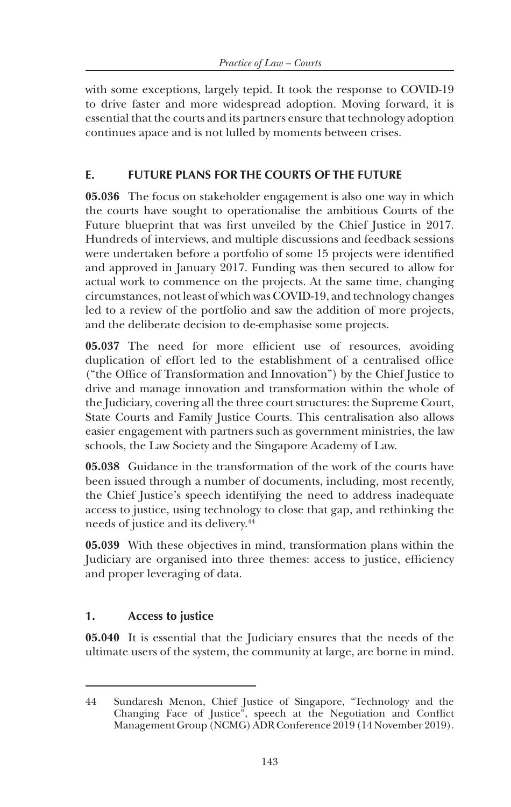with some exceptions, largely tepid. It took the response to COVID-19 to drive faster and more widespread adoption. Moving forward, it is essential that the courts and its partners ensure that technology adoption continues apace and is not lulled by moments between crises.

## **E. FUTURE PLANS FOR THE COURTS OF THE FUTURE**

**05.036** The focus on stakeholder engagement is also one way in which the courts have sought to operationalise the ambitious Courts of the Future blueprint that was first unveiled by the Chief Justice in 2017. Hundreds of interviews, and multiple discussions and feedback sessions were undertaken before a portfolio of some 15 projects were identified and approved in January 2017. Funding was then secured to allow for actual work to commence on the projects. At the same time, changing circumstances, not least of which was COVID-19, and technology changes led to a review of the portfolio and saw the addition of more projects, and the deliberate decision to de-emphasise some projects.

**05.037** The need for more efficient use of resources, avoiding duplication of effort led to the establishment of a centralised office ("the Office of Transformation and Innovation") by the Chief Justice to drive and manage innovation and transformation within the whole of the Judiciary, covering all the three court structures: the Supreme Court, State Courts and Family Justice Courts. This centralisation also allows easier engagement with partners such as government ministries, the law schools, the Law Society and the Singapore Academy of Law.

**05.038** Guidance in the transformation of the work of the courts have been issued through a number of documents, including, most recently, the Chief Justice's speech identifying the need to address inadequate access to justice, using technology to close that gap, and rethinking the needs of justice and its delivery.44

**05.039** With these objectives in mind, transformation plans within the Judiciary are organised into three themes: access to justice, efficiency and proper leveraging of data.

## **1. Access to justice**

**05.040** It is essential that the Judiciary ensures that the needs of the ultimate users of the system, the community at large, are borne in mind.

<sup>44</sup> Sundaresh Menon, Chief Justice of Singapore, "Technology and the Changing Face of Justice", speech at the Negotiation and Conflict Management Group (NCMG) ADR Conference 2019 (14 November 2019).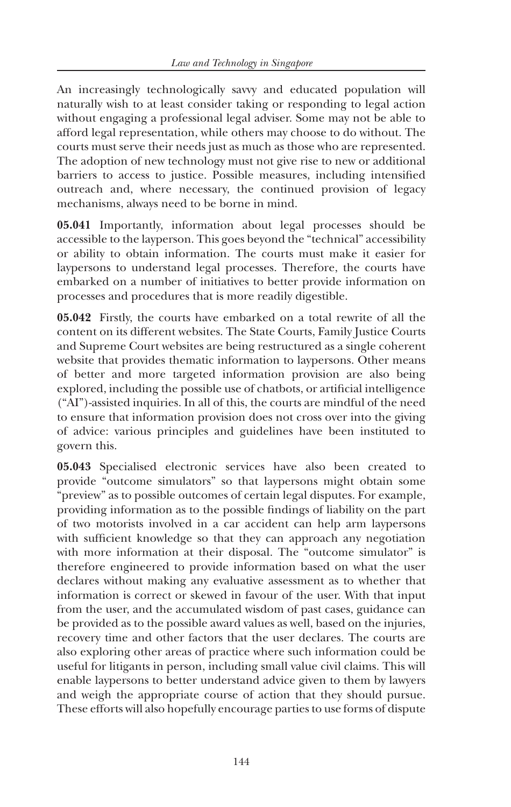An increasingly technologically savvy and educated population will naturally wish to at least consider taking or responding to legal action without engaging a professional legal adviser. Some may not be able to afford legal representation, while others may choose to do without. The courts must serve their needs just as much as those who are represented. The adoption of new technology must not give rise to new or additional barriers to access to justice. Possible measures, including intensified outreach and, where necessary, the continued provision of legacy mechanisms, always need to be borne in mind.

**05.041** Importantly, information about legal processes should be accessible to the layperson. This goes beyond the "technical" accessibility or ability to obtain information. The courts must make it easier for laypersons to understand legal processes. Therefore, the courts have embarked on a number of initiatives to better provide information on processes and procedures that is more readily digestible.

**05.042** Firstly, the courts have embarked on a total rewrite of all the content on its different websites. The State Courts, Family Justice Courts and Supreme Court websites are being restructured as a single coherent website that provides thematic information to laypersons. Other means of better and more targeted information provision are also being explored, including the possible use of chatbots, or artificial intelligence ("AI")-assisted inquiries. In all of this, the courts are mindful of the need to ensure that information provision does not cross over into the giving of advice: various principles and guidelines have been instituted to govern this.

**05.043** Specialised electronic services have also been created to provide "outcome simulators" so that laypersons might obtain some "preview" as to possible outcomes of certain legal disputes. For example, providing information as to the possible findings of liability on the part of two motorists involved in a car accident can help arm laypersons with sufficient knowledge so that they can approach any negotiation with more information at their disposal. The "outcome simulator" is therefore engineered to provide information based on what the user declares without making any evaluative assessment as to whether that information is correct or skewed in favour of the user. With that input from the user, and the accumulated wisdom of past cases, guidance can be provided as to the possible award values as well, based on the injuries, recovery time and other factors that the user declares. The courts are also exploring other areas of practice where such information could be useful for litigants in person, including small value civil claims. This will enable laypersons to better understand advice given to them by lawyers and weigh the appropriate course of action that they should pursue. These efforts will also hopefully encourage parties to use forms of dispute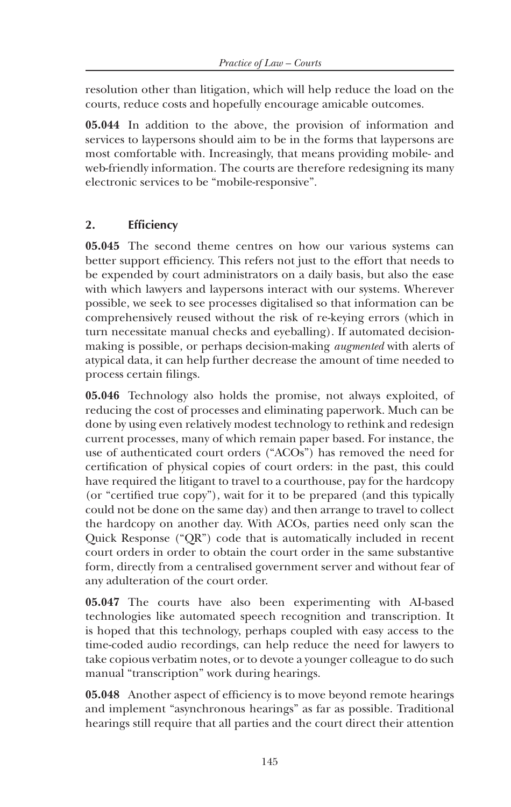resolution other than litigation, which will help reduce the load on the courts, reduce costs and hopefully encourage amicable outcomes.

**05.044** In addition to the above, the provision of information and services to laypersons should aim to be in the forms that laypersons are most comfortable with. Increasingly, that means providing mobile- and web-friendly information. The courts are therefore redesigning its many electronic services to be "mobile-responsive".

## **2. Efficiency**

**05.045** The second theme centres on how our various systems can better support efficiency. This refers not just to the effort that needs to be expended by court administrators on a daily basis, but also the ease with which lawyers and laypersons interact with our systems. Wherever possible, we seek to see processes digitalised so that information can be comprehensively reused without the risk of re-keying errors (which in turn necessitate manual checks and eyeballing). If automated decisionmaking is possible, or perhaps decision-making *augmented* with alerts of atypical data, it can help further decrease the amount of time needed to process certain filings.

**05.046** Technology also holds the promise, not always exploited, of reducing the cost of processes and eliminating paperwork. Much can be done by using even relatively modest technology to rethink and redesign current processes, many of which remain paper based. For instance, the use of authenticated court orders ("ACOs") has removed the need for certification of physical copies of court orders: in the past, this could have required the litigant to travel to a courthouse, pay for the hardcopy (or "certified true copy"), wait for it to be prepared (and this typically could not be done on the same day) and then arrange to travel to collect the hardcopy on another day. With ACOs, parties need only scan the Quick Response ("QR") code that is automatically included in recent court orders in order to obtain the court order in the same substantive form, directly from a centralised government server and without fear of any adulteration of the court order.

**05.047** The courts have also been experimenting with AI-based technologies like automated speech recognition and transcription. It is hoped that this technology, perhaps coupled with easy access to the time-coded audio recordings, can help reduce the need for lawyers to take copious verbatim notes, or to devote a younger colleague to do such manual "transcription" work during hearings.

**05.048** Another aspect of efficiency is to move beyond remote hearings and implement "asynchronous hearings" as far as possible. Traditional hearings still require that all parties and the court direct their attention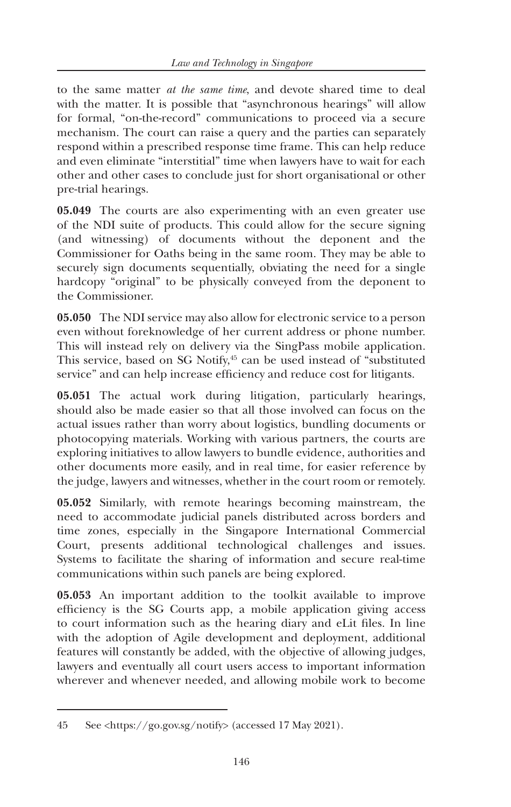to the same matter *at the same time*, and devote shared time to deal with the matter. It is possible that "asynchronous hearings" will allow for formal, "on-the-record" communications to proceed via a secure mechanism. The court can raise a query and the parties can separately respond within a prescribed response time frame. This can help reduce and even eliminate "interstitial" time when lawyers have to wait for each other and other cases to conclude just for short organisational or other pre-trial hearings.

**05.049** The courts are also experimenting with an even greater use of the NDI suite of products. This could allow for the secure signing (and witnessing) of documents without the deponent and the Commissioner for Oaths being in the same room. They may be able to securely sign documents sequentially, obviating the need for a single hardcopy "original" to be physically conveyed from the deponent to the Commissioner.

**05.050** The NDI service may also allow for electronic service to a person even without foreknowledge of her current address or phone number. This will instead rely on delivery via the SingPass mobile application. This service, based on SG Notify,<sup>45</sup> can be used instead of "substituted service" and can help increase efficiency and reduce cost for litigants.

**05.051** The actual work during litigation, particularly hearings, should also be made easier so that all those involved can focus on the actual issues rather than worry about logistics, bundling documents or photocopying materials. Working with various partners, the courts are exploring initiatives to allow lawyers to bundle evidence, authorities and other documents more easily, and in real time, for easier reference by the judge, lawyers and witnesses, whether in the court room or remotely.

**05.052** Similarly, with remote hearings becoming mainstream, the need to accommodate judicial panels distributed across borders and time zones, especially in the Singapore International Commercial Court, presents additional technological challenges and issues. Systems to facilitate the sharing of information and secure real-time communications within such panels are being explored.

**05.053** An important addition to the toolkit available to improve efficiency is the SG Courts app, a mobile application giving access to court information such as the hearing diary and eLit files. In line with the adoption of Agile development and deployment, additional features will constantly be added, with the objective of allowing judges, lawyers and eventually all court users access to important information wherever and whenever needed, and allowing mobile work to become

<sup>45</sup> See <https://go.gov.sg/notify> (accessed 17 May 2021).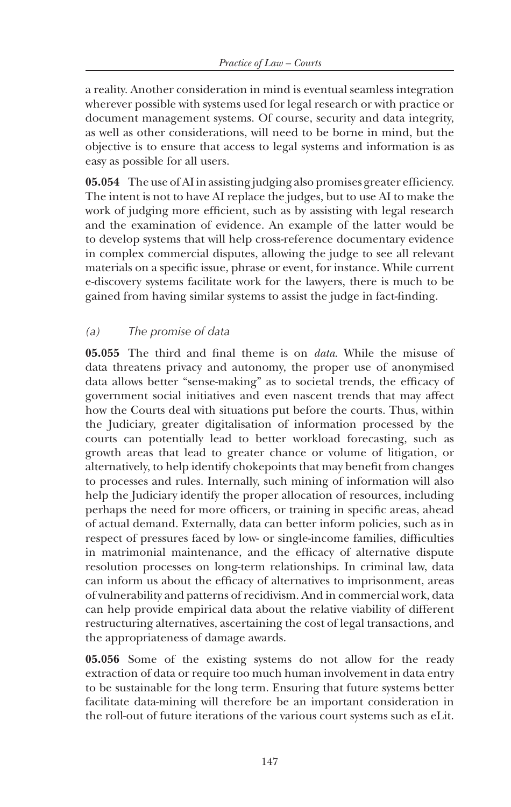a reality. Another consideration in mind is eventual seamless integration wherever possible with systems used for legal research or with practice or document management systems. Of course, security and data integrity, as well as other considerations, will need to be borne in mind, but the objective is to ensure that access to legal systems and information is as easy as possible for all users.

**05.054** The use of AI in assisting judging also promises greater efficiency. The intent is not to have AI replace the judges, but to use AI to make the work of judging more efficient, such as by assisting with legal research and the examination of evidence. An example of the latter would be to develop systems that will help cross-reference documentary evidence in complex commercial disputes, allowing the judge to see all relevant materials on a specific issue, phrase or event, for instance. While current e-discovery systems facilitate work for the lawyers, there is much to be gained from having similar systems to assist the judge in fact-finding.

## *(a) The promise of data*

**05.055** The third and final theme is on *data*. While the misuse of data threatens privacy and autonomy, the proper use of anonymised data allows better "sense-making" as to societal trends, the efficacy of government social initiatives and even nascent trends that may affect how the Courts deal with situations put before the courts. Thus, within the Judiciary, greater digitalisation of information processed by the courts can potentially lead to better workload forecasting, such as growth areas that lead to greater chance or volume of litigation, or alternatively, to help identify chokepoints that may benefit from changes to processes and rules. Internally, such mining of information will also help the Judiciary identify the proper allocation of resources, including perhaps the need for more officers, or training in specific areas, ahead of actual demand. Externally, data can better inform policies, such as in respect of pressures faced by low- or single-income families, difficulties in matrimonial maintenance, and the efficacy of alternative dispute resolution processes on long-term relationships. In criminal law, data can inform us about the efficacy of alternatives to imprisonment, areas of vulnerability and patterns of recidivism. And in commercial work, data can help provide empirical data about the relative viability of different restructuring alternatives, ascertaining the cost of legal transactions, and the appropriateness of damage awards.

**05.056** Some of the existing systems do not allow for the ready extraction of data or require too much human involvement in data entry to be sustainable for the long term. Ensuring that future systems better facilitate data-mining will therefore be an important consideration in the roll-out of future iterations of the various court systems such as eLit.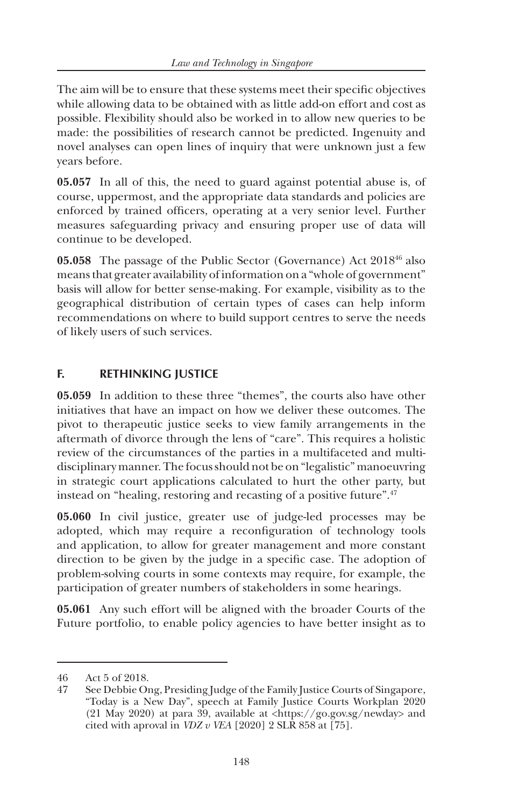The aim will be to ensure that these systems meet their specific objectives while allowing data to be obtained with as little add-on effort and cost as possible. Flexibility should also be worked in to allow new queries to be made: the possibilities of research cannot be predicted. Ingenuity and novel analyses can open lines of inquiry that were unknown just a few years before.

**05.057** In all of this, the need to guard against potential abuse is, of course, uppermost, and the appropriate data standards and policies are enforced by trained officers, operating at a very senior level. Further measures safeguarding privacy and ensuring proper use of data will continue to be developed.

**05.058** The passage of the Public Sector (Governance) Act 201846 also means that greater availability of information on a "whole of government" basis will allow for better sense-making. For example, visibility as to the geographical distribution of certain types of cases can help inform recommendations on where to build support centres to serve the needs of likely users of such services.

# **F. RETHINKING JUSTICE**

**05.059** In addition to these three "themes", the courts also have other initiatives that have an impact on how we deliver these outcomes. The pivot to therapeutic justice seeks to view family arrangements in the aftermath of divorce through the lens of "care". This requires a holistic review of the circumstances of the parties in a multifaceted and multidisciplinary manner. The focus should not be on "legalistic" manoeuvring in strategic court applications calculated to hurt the other party, but instead on "healing, restoring and recasting of a positive future".47

**05.060** In civil justice, greater use of judge-led processes may be adopted, which may require a reconfiguration of technology tools and application, to allow for greater management and more constant direction to be given by the judge in a specific case. The adoption of problem-solving courts in some contexts may require, for example, the participation of greater numbers of stakeholders in some hearings.

**05.061** Any such effort will be aligned with the broader Courts of the Future portfolio, to enable policy agencies to have better insight as to

<sup>46</sup> Act 5 of 2018.

<sup>47</sup> See Debbie Ong, Presiding Judge of the Family Justice Courts of Singapore, "Today is a New Day", speech at Family Justice Courts Workplan 2020 (21 May 2020) at para 39, available at <https://go.gov.sg/newday> and cited with aproval in *VDZ v VEA* [2020] 2 SLR 858 at [75].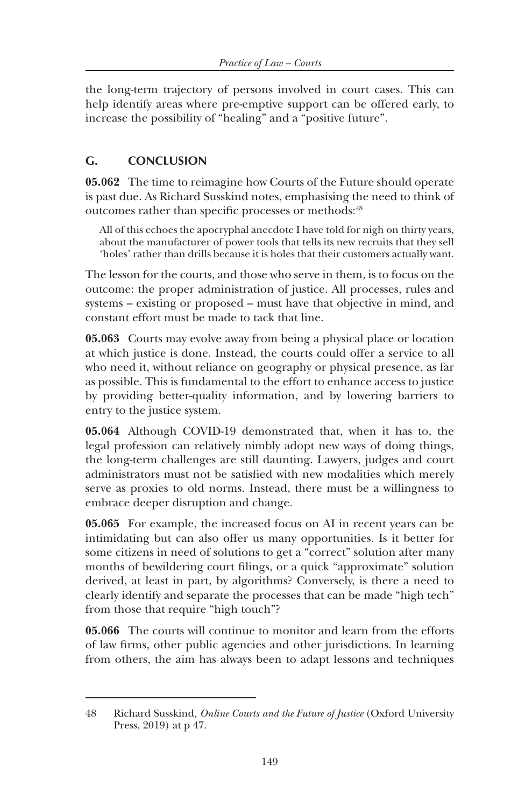the long-term trajectory of persons involved in court cases. This can help identify areas where pre-emptive support can be offered early, to increase the possibility of "healing" and a "positive future".

## **G. CONCLUSION**

**05.062** The time to reimagine how Courts of the Future should operate is past due. As Richard Susskind notes, emphasising the need to think of outcomes rather than specific processes or methods:<sup>48</sup>

All of this echoes the apocryphal anecdote I have told for nigh on thirty years, about the manufacturer of power tools that tells its new recruits that they sell 'holes' rather than drills because it is holes that their customers actually want.

The lesson for the courts, and those who serve in them, is to focus on the outcome: the proper administration of justice. All processes, rules and systems – existing or proposed – must have that objective in mind, and constant effort must be made to tack that line.

**05.063** Courts may evolve away from being a physical place or location at which justice is done. Instead, the courts could offer a service to all who need it, without reliance on geography or physical presence, as far as possible. This is fundamental to the effort to enhance access to justice by providing better-quality information, and by lowering barriers to entry to the justice system.

**05.064** Although COVID-19 demonstrated that, when it has to, the legal profession can relatively nimbly adopt new ways of doing things, the long-term challenges are still daunting. Lawyers, judges and court administrators must not be satisfied with new modalities which merely serve as proxies to old norms. Instead, there must be a willingness to embrace deeper disruption and change.

**05.065** For example, the increased focus on AI in recent years can be intimidating but can also offer us many opportunities. Is it better for some citizens in need of solutions to get a "correct" solution after many months of bewildering court filings, or a quick "approximate" solution derived, at least in part, by algorithms? Conversely, is there a need to clearly identify and separate the processes that can be made "high tech" from those that require "high touch"?

**05.066** The courts will continue to monitor and learn from the efforts of law firms, other public agencies and other jurisdictions. In learning from others, the aim has always been to adapt lessons and techniques

<sup>48</sup> Richard Susskind, *Online Courts and the Future of Justice* (Oxford University Press, 2019) at p 47.